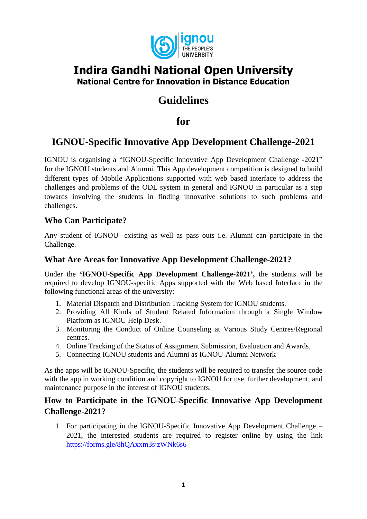

# **Indira Gandhi National Open University National Centre for Innovation in Distance Education**

# **Guidelines**

**for** 

# **IGNOU-Specific Innovative App Development Challenge-2021**

IGNOU is organising a "IGNOU-Specific Innovative App Development Challenge -2021" for the IGNOU students and Alumni. This App development competition is designed to build different types of Mobile Applications supported with web based interface to address the challenges and problems of the ODL system in general and IGNOU in particular as a step towards involving the students in finding innovative solutions to such problems and challenges.

## **Who Can Participate?**

Any student of IGNOU- existing as well as pass outs i.e. Alumni can participate in the Challenge.

### **What Are Areas for Innovative App Development Challenge-2021?**

Under the **'IGNOU-Specific App Development Challenge-2021',** the students will be required to develop IGNOU-specific Apps supported with the Web based Interface in the following functional areas of the university:

- 1. Material Dispatch and Distribution Tracking System for IGNOU students.
- 2. Providing All Kinds of Student Related Information through a Single Window Platform as IGNOU Help Desk.
- 3. Monitoring the Conduct of Online Counseling at Various Study Centres/Regional centres.
- 4. Online Tracking of the Status of Assignment Submission, Evaluation and Awards.
- 5. Connecting IGNOU students and Alumni as IGNOU-Alumni Network

As the apps will be IGNOU-Specific, the students will be required to transfer the source code with the app in working condition and copyright to IGNOU for use, further development, and maintenance purpose in the interest of IGNOU students.

### **How to Participate in the IGNOU-Specific Innovative App Development Challenge-2021?**

1. For participating in the IGNOU-Specific Innovative App Development Challenge – 2021, the interested students are required to register online by using the link <https://forms.gle/8hQAxxm3sjzWNk6s6>